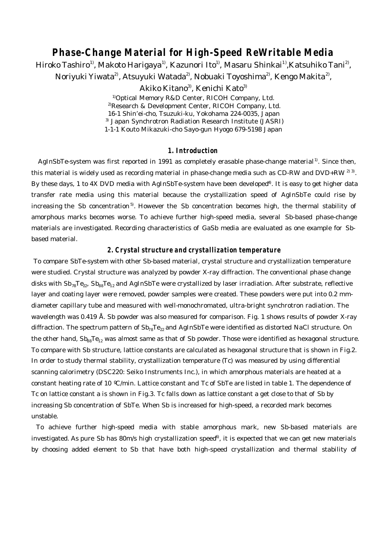# **Phase-Change Material for High-Speed ReWritable Media**

Hiroko Tashiro $^{\rm l)}$ , Makoto Harigaya $^{\rm l)}$ , Kazunori Ito $^{\rm l)}$ , Masaru Shinkai $^{\rm l)}$ ,Katsuhiko Tani $^{\rm 2)}$ , Noriyuki Yiwata<sup>2)</sup>, Atsuyuki Watada<sup>2)</sup>, Nobuaki Toyoshima<sup>2)</sup>, Kengo Makita<sup>2)</sup>,

Akiko Kitano<sup>3)</sup>, Kenichi Kato<sup>3)</sup>

1)Optical Memory R&D Center, RICOH Company, Ltd. 2)Research & Development Center, RICOH Company, Ltd. 16-1 Shin'ei-cho, Tsuzuki-ku, Yokohama 224-0035, Japan 3) Japan Synchrotron Radiation Research Institute (JASRI) 1-1-1 Kouto Mikazuki-cho Sayo-gun Hyogo 679-5198 Japan

## **1. Introduction**

AgInSbTe-system was first reported in 1991 as completely erasable phase-change material<sup>1)</sup>. Since then, this material is widely used as recording material in phase-change media such as CD-RW and DVD+RW  $^{2/3}$ . By these days, 1 to 4X DVD media with AgInSbTe-system have been developed<sup>4</sup>. It is easy to get higher data transfer rate media using this material because the crystallization speed of AgInSbTe could rise by increasing the Sb concentration<sup>5</sup>. However the Sb concentration becomes high, the thermal stability of amorphous marks becomes worse. To achieve further high-speed media, several Sb-based phase-change materials are investigated. Recording characteristics of GaSb media are evaluated as one example for Sbbased material.

#### **2. Crystal structure and crystallization temperature**

 To compare SbTe-system with other Sb-based material, crystal structure and crystallization temperature were studied. Crystal structure was analyzed by powder X-ray diffraction. The conventional phase change disks with  $\rm{Sb}_{78}Te_{22}$ ,  $\rm{Sb}_{88}Te_{12}$  and AgInSbTe were crystallized by laser irradiation. After substrate, reflective layer and coating layer were removed, powder samples were created. These powders were put into 0.2 mmdiameter capillary tube and measured with well-monochromated, ultra-bright synchrotron radiation. The wavelength was 0.419 Å. Sb powder was also measured for comparison. Fig. 1 shows results of powder X-ray diffraction. The spectrum pattern of  $Sh_{78}Te_{22}$  and AgInSbTe were identified as distorted NaCl structure. On the other hand,  $Sh_{88}Te_{12}$  was almost same as that of Sb powder. Those were identified as hexagonal structure. To compare with Sb structure, lattice constants are calculated as hexagonal structure that is shown in Fig.2. In order to study thermal stability, crystallization temperature (Tc) was measured by using differential scanning calorimetry (DSC220: Seiko Instruments Inc.), in which amorphous materials are heated at a constant heating rate of 10 ºC/min. Lattice constant and Tc of SbTe are listed in table 1. The dependence of Tc on lattice constant *a* is shown in Fig.3. Tc falls down as lattice constant *a* get close to that of Sb by increasing Sb concentration of SbTe. When Sb is increased for high-speed, a recorded mark becomes unstable.

 To achieve further high-speed media with stable amorphous mark, new Sb-based materials are investigated. As pure Sb has 80m/s high crystallization speed<sup>6</sup>, it is expected that we can get new materials by choosing added element to Sb that have both high-speed crystallization and thermal stability of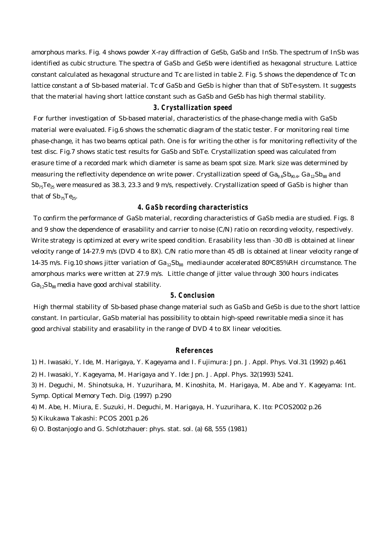amorphous marks. Fig. 4 shows powder X-ray diffraction of GeSb, GaSb and InSb. The spectrum of InSb was identified as cubic structure. The spectra of GaSb and GeSb were identified as hexagonal structure. Lattice constant calculated as hexagonal structure and Tc are listed in table 2. Fig. 5 shows the dependence of Tc on lattice constant a of Sb-based material. Tc of GaSb and GeSb is higher than that of SbTe-system. It suggests that the material having short lattice constant such as GaSb and GeSb has high thermal stability.

#### **3. Crystallization speed**

 For further investigation of Sb-based material, characteristics of the phase-change media with GaSb material were evaluated. Fig.6 shows the schematic diagram of the static tester. For monitoring real time phase-change, it has two beams optical path. One is for writing the other is for monitoring reflectivity of the test disc. Fig.7 shows static test results for GaSb and SbTe. Crystallization speed was calculated from erasure time of a recorded mark which diameter is same as beam spot size. Mark size was determined by measuring the reflectivity dependence on write power. Crystallization speed of  $Ga_{9.6}Sb_{90.4}$ ,  $Ga_{12}Sb_{88}$  and  $Sb_{75}Te_{25}$  were measured as 38.3, 23.3 and 9 m/s, respectively. Crystallization speed of GaSb is higher than that of  $\mathrm{Sb}_{75}\mathrm{Te}_{25}$ .

# **4. GaSb recording characteristics**

 To confirm the performance of GaSb material, recording characteristics of GaSb media are studied. Figs. 8 and 9 show the dependence of erasability and carrier to noise (C/N) ratio on recording velocity, respectively. Write strategy is optimized at every write speed condition. Erasability less than -30 dB is obtained at linear velocity range of 14-27.9 m/s (DVD 4 to 8X). C/N ratio more than 45 dB is obtained at linear velocity range of 14-35 m/s. Fig.10 shows jitter variation of  $Ga_{12}Sb_{88}$  mediaunder accelerated 80°C85%RH circumstance. The amorphous marks were written at 27.9 m/s. Little change of jitter value through 300 hours indicates  $Ga_{12}Sb_{88}$  media have good archival stability.

## **5. Conclusion**

 High thermal stability of Sb-based phase change material such as GaSb and GeSb is due to the short lattice constant. In particular, GaSb material has possibility to obtain high-speed rewritable media since it has good archival stability and erasability in the range of DVD 4 to 8X linear velocities.

#### **References**

1) H. Iwasaki, Y. Ide, M. Harigaya, Y. Kageyama and I. Fujimura: Jpn. J. Appl. Phys. Vol.31 (1992) p.461

2) H. Iwasaki, Y. Kageyama, M. Harigaya and Y. Ide: Jpn. J. Appl. Phys. 32(1993) 5241.

3) H. Deguchi, M. Shinotsuka, H. Yuzurihara, M. Kinoshita, M. Harigaya, M. Abe and Y. Kageyama: Int. Symp. Optical Memory Tech. Dig. (1997) p.290

4) M. Abe, H. Miura, E. Suzuki, H. Deguchi, M. Harigaya, H. Yuzurihara, K. Ito: PCOS2002 p.26

5) Kikukawa Takashi: PCOS 2001 p.26

6) O. Bostanjoglo and G. Schlotzhauer: phys. stat. sol. (a) 68, 555 (1981)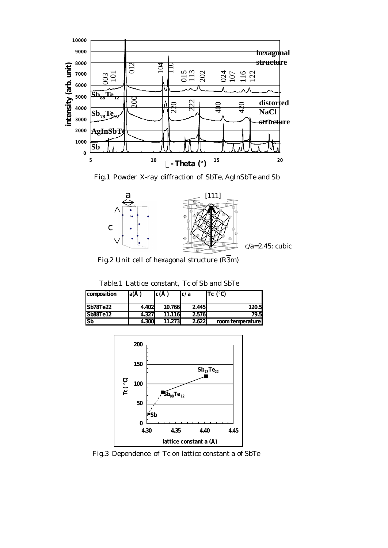

Fig.1 Powder X-ray diffraction of SbTe, AgInSbTe and Sb



Fig.2 Unit cell of hexagonal structure  $(\overline{R3m})$ 

| composition | la( |                   | r ( |        | c/a   | Tc (             |
|-------------|-----|-------------------|-----|--------|-------|------------------|
| Sb78Te22    |     | 4.402             |     | 10.766 | 2.445 | 120.5            |
| Sb88Te12    |     | 4.327             |     | 11.116 | 2,576 | 79.5             |
| lSb         |     | $\overline{4300}$ |     |        | 2622  | room temperature |

Table.1 Lattice constant, Tc of Sb and SbTe



Fig.3 Dependence of Tc on lattice constant a of SbTe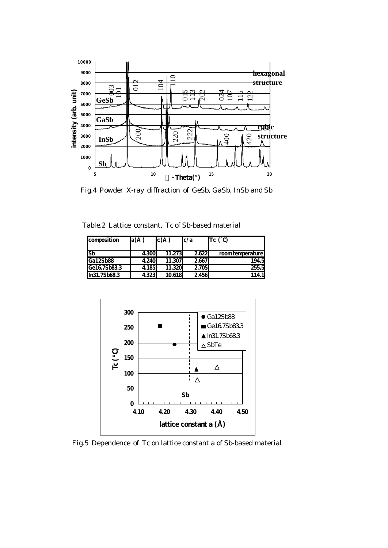

Fig.4 Powder X-ray diffraction of GeSb, GaSb, InSb and Sb

Table.2 Lattice constant, Tc of Sb-based material

| composition  | la( |       | lc( |        | c/a   | Tc (            |
|--------------|-----|-------|-----|--------|-------|-----------------|
| lSb          |     | 4.300 |     | 11.273 | 2.622 | roomtemperature |
| Ga12Sb88     |     | 4.240 |     | 11.307 | 2667  | 194.5           |
| Ge167Sb833   |     | 4.185 |     | 11.320 | 2.705 | 255.5           |
| In31.7Sb68.3 |     | 4.323 |     | 10.618 | 2.456 | 114. II         |



Fig.5 Dependence of Tc on lattice constant a of Sb-based material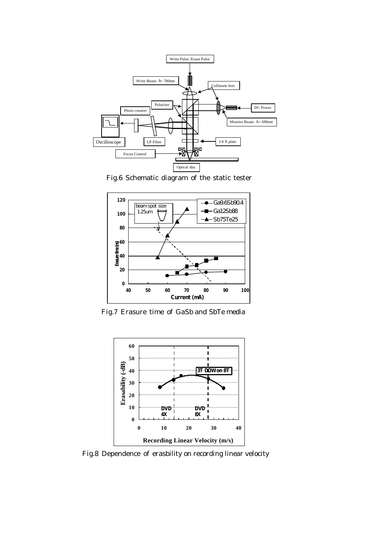

Fig.6 Schematic diagram of the static tester



Fig.7 Erasure time of GaSb and SbTe media



Fig.8 Dependence of erasbility on recording linear velocity